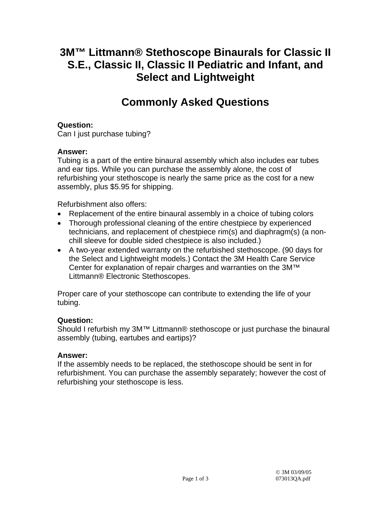# **3M™ Littmann® Stethoscope Binaurals for Classic II S.E., Classic II, Classic II Pediatric and Infant, and Select and Lightweight**

# **Commonly Asked Questions**

## **Question:**

Can I just purchase tubing?

### **Answer:**

Tubing is a part of the entire binaural assembly which also includes ear tubes and ear tips. While you can purchase the assembly alone, the cost of refurbishing your stethoscope is nearly the same price as the cost for a new assembly, plus \$5.95 for shipping.

Refurbishment also offers:

- Replacement of the entire binaural assembly in a choice of tubing colors
- Thorough professional cleaning of the entire chestpiece by experienced technicians, and replacement of chestpiece rim(s) and diaphragm(s) (a nonchill sleeve for double sided chestpiece is also included.)
- A two-year extended warranty on the refurbished stethoscope. (90 days for the Select and Lightweight models.) Contact the 3M Health Care Service Center for explanation of repair charges and warranties on the 3M™ Littmann® Electronic Stethoscopes.

Proper care of your stethoscope can contribute to extending the life of your tubing.

### **Question:**

Should I refurbish my 3M™ Littmann® stethoscope or just purchase the binaural assembly (tubing, eartubes and eartips)?

### **Answer:**

If the assembly needs to be replaced, the stethoscope should be sent in for refurbishment. You can purchase the assembly separately; however the cost of refurbishing your stethoscope is less.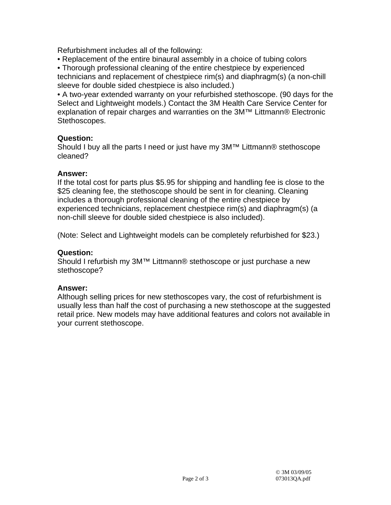Refurbishment includes all of the following:

• Replacement of the entire binaural assembly in a choice of tubing colors

• Thorough professional cleaning of the entire chestpiece by experienced technicians and replacement of chestpiece rim(s) and diaphragm(s) (a non-chill sleeve for double sided chestpiece is also included.)

• A two-year extended warranty on your refurbished stethoscope. (90 days for the Select and Lightweight models.) Contact the 3M Health Care Service Center for explanation of repair charges and warranties on the 3M™ Littmann® Electronic Stethoscopes.

#### **Question:**

Should I buy all the parts I need or just have my 3M™ Littmann® stethoscope cleaned?

#### **Answer:**

If the total cost for parts plus \$5.95 for shipping and handling fee is close to the \$25 cleaning fee, the stethoscope should be sent in for cleaning. Cleaning includes a thorough professional cleaning of the entire chestpiece by experienced technicians, replacement chestpiece rim(s) and diaphragm(s) (a non-chill sleeve for double sided chestpiece is also included).

(Note: Select and Lightweight models can be completely refurbished for \$23.)

#### **Question:**

Should I refurbish my 3M™ Littmann® stethoscope or just purchase a new stethoscope?

#### **Answer:**

Although selling prices for new stethoscopes vary, the cost of refurbishment is usually less than half the cost of purchasing a new stethoscope at the suggested retail price. New models may have additional features and colors not available in your current stethoscope.